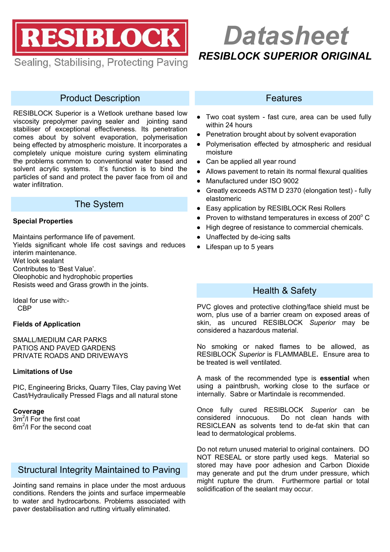RESIBLOCK

Sealing, Stabilising, Protecting Paving

# *RESIBLOCK SUPERIOR ORIGINAL Datasheet*

# Product Description

RESIBLOCK Superior is a Wetlook urethane based low viscosity prepolymer paving sealer and jointing sand stabiliser of exceptional effectiveness. Its penetration comes about by solvent evaporation, polymerisation being effected by atmospheric moisture. It incorporates a completely unique moisture curing system eliminating the problems common to conventional water based and solvent acrylic systems. It's function is to bind the particles of sand and protect the paver face from oil and water infiltration.

# The System

## **Special Properties**

Maintains performance life of pavement.

Yields significant whole life cost savings and reduces interim maintenance.

Wet look sealant

Contributes to 'Best Value'.

Oleophobic and hydrophobic properties Resists weed and Grass growth in the joints.

Ideal for use with:- **CBP** 

## **Fields of Application**

SMALL/MEDIUM CAR PARKS PATIOS AND PAVED GARDENS PRIVATE ROADS AND DRIVEWAYS

## **Limitations of Use**

PIC, Engineering Bricks, Quarry Tiles, Clay paving Wet Cast/Hydraulically Pressed Flags and all natural stone

#### **Coverage**

3m<sup>2</sup>/l For the first coat 6m<sup>2</sup>/l For the second coat

# Structural Integrity Maintained to Paving

Jointing sand remains in place under the most arduous conditions. Renders the joints and surface impermeable to water and hydrocarbons. Problems associated with paver destabilisation and rutting virtually eliminated.

## **Features**

- Two coat system fast cure, area can be used fully within 24 hours
- Penetration brought about by solvent evaporation
- Polymerisation effected by atmospheric and residual  $\bullet$ moisture
- Can be applied all year round
- Allows pavement to retain its normal flexural qualities
- Manufactured under ISO 9002
- Greatly exceeds ASTM D 2370 (elongation test) fully  $\bullet$ elastomeric
- Easy application by RESIBLOCK Resi Rollers
- Proven to withstand temperatures in excess of 200°C
- High degree of resistance to commercial chemicals.
- Unaffected by de-icing salts
- Lifespan up to 5 years

# Health & Safety

PVC gloves and protective clothing/face shield must be worn, plus use of a barrier cream on exposed areas of skin, as uncured RESIBLOCK *Superior* may be considered a hazardous material.

No smoking or naked flames to be allowed, as RESIBLOCK *Superior* is FLAMMABLE**.** Ensure area to be treated is well ventilated.

A mask of the recommended type is **essential** when using a paintbrush, working close to the surface or internally. Sabre or Martindale is recommended.

Once fully cured RESIBLOCK *Superior* can be considered innocuous. Do not clean hands with RESICLEAN as solvents tend to de-fat skin that can lead to dermatological problems.

Do not return unused material to original containers. DO NOT RESEAL or store partly used kegs. Material so stored may have poor adhesion and Carbon Dioxide may generate and put the drum under pressure, which might rupture the drum. Furthermore partial or total solidification of the sealant may occur.